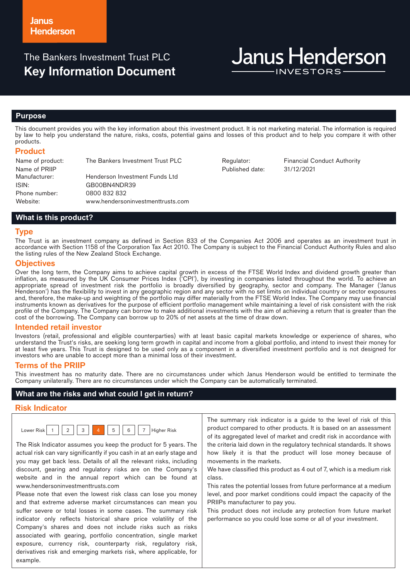# The Bankers Investment Trust PLC **Key Information Document**

# **Janus Henderson**

## **Purpose**

This document provides you with the key information about this investment product. It is not marketing material. The information is required by law to help you understand the nature, risks, costs, potential gains and losses of this product and to help you compare it with other products.

#### **Product**

Name of product: The Bankers Investment Trust PLC Regulator: Financial Conduct Authority Name of PRIIP<br>Manufacturer: Henderson Investment Funds Ltd ISIN: GB00BN4NDR39 Phone number: 0800 832 832 Website: www.hendersoninvestmenttrusts.com

Published date: 31/12/2021

## **What is this product?**

#### **Type**

The Trust is an investment company as defined in Section 833 of the Companies Act 2006 and operates as an investment trust in accordance with Section 1158 of the Corporation Tax Act 2010. The Company is subject to the Financial Conduct Authority Rules and also the listing rules of the New Zealand Stock Exchange.

#### **Objectives**

Over the long term, the Company aims to achieve capital growth in excess of the FTSE World Index and dividend growth greater than inflation, as measured by the UK Consumer Prices Index ('CPI'), by investing in companies listed throughout the world. To achieve an appropriate spread of investment risk the portfolio is broadly diversified by geography, sector and company. The Manager ('Janus Henderson') has the flexibility to invest in any geographic region and any sector with no set limits on individual country or sector exposures and, therefore, the make-up and weighting of the portfolio may differ materially from the FTSE World Index. The Company may use financial instruments known as derivatives for the purpose of efficient portfolio management while maintaining a level of risk consistent with the risk profile of the Company. The Company can borrow to make additional investments with the aim of achieving a return that is greater than the cost of the borrowing. The Company can borrow up to 20% of net assets at the time of draw down.

#### **Intended retail investor**

Investors (retail, professional and eligible counterparties) with at least basic capital markets knowledge or experience of shares, who understand the Trust's risks, are seeking long term growth in capital and income from a global portfolio, and intend to invest their money for at least five years. This Trust is designed to be used only as a component in a diversified investment portfolio and is not designed for investors who are unable to accept more than a minimal loss of their investment.

#### **Terms of the PRIIP**

This investment has no maturity date. There are no circumstances under which Janus Henderson would be entitled to terminate the Company unilaterally. There are no circumstances under which the Company can be automatically terminated.

#### **What are the risks and what could I get in return?**

#### **Risk Indicator**

| OWAL |  | 3 |  | 5 | $\epsilon$ |  | liaher Risk<br>$\mathbf{r}$ |
|------|--|---|--|---|------------|--|-----------------------------|
|------|--|---|--|---|------------|--|-----------------------------|

The Risk Indicator assumes you keep the product for 5 years. The actual risk can vary significantly if you cash in at an early stage and you may get back less. Details of all the relevant risks, including discount, gearing and regulatory risks are on the Company's website and in the annual report which can be found at www.hendersoninvestmenttrusts.com

Please note that even the lowest risk class can lose you money and that extreme adverse market circumstances can mean you suffer severe or total losses in some cases. The summary risk indicator only reflects historical share price volatility of the Company's shares and does not include risks such as risks associated with gearing, portfolio concentration, single market exposure, currency risk, counterparty risk, regulatory risk, derivatives risk and emerging markets risk, where applicable, for example.

The summary risk indicator is a guide to the level of risk of this product compared to other products. It is based on an assessment of its aggregated level of market and credit risk in accordance with the criteria laid down in the regulatory technical standards. It shows how likely it is that the product will lose money because of movements in the markets.

We have classified this product as 4 out of 7, which is a medium risk class.

This rates the potential losses from future performance at a medium level, and poor market conditions could impact the capacity of the PRIIPs manufacturer to pay you.

This product does not include any protection from future market performance so you could lose some or all of your investment.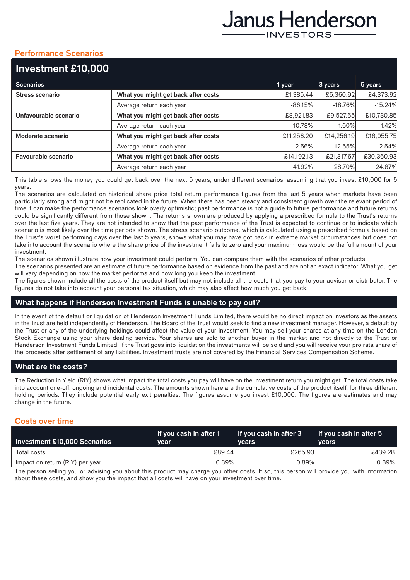# Janus Henderson **INVESTORS**

# **Performance Scenarios**

| Investment £10,000         |                                     |            |            |            |
|----------------------------|-------------------------------------|------------|------------|------------|
| <b>Scenarios</b>           |                                     | 1 year     | 3 years    | 5 years    |
| <b>Stress scenario</b>     | What you might get back after costs | £1,385.44  | £5,360.92  | £4,373.92  |
|                            | Average return each year            | $-86.15%$  | $-18.76%$  | $-15.24%$  |
| Unfavourable scenario      | What you might get back after costs | £8,921.83  | £9,527.65  | £10,730.85 |
|                            | Average return each year            | $-10.78%$  | $-1.60%$   | 1.42%      |
| Moderate scenario          | What you might get back after costs | £11,256.20 | £14,256.19 | £18,055.75 |
|                            | Average return each year            | 12.56%     | 12.55%     | 12.54%     |
| <b>Favourable scenario</b> | What you might get back after costs | £14,192.13 | £21,317.67 | £30,360.93 |
|                            | Average return each year            | 41.92%     | 28.70%     | 24.87%     |

This table shows the money you could get back over the next 5 years, under different scenarios, assuming that you invest £10,000 for 5 years.

The scenarios are calculated on historical share price total return performance figures from the last 5 years when markets have been particularly strong and might not be replicated in the future. When there has been steady and consistent growth over the relevant period of time it can make the performance scenarios look overly optimistic; past performance is not a guide to future performance and future returns could be significantly different from those shown. The returns shown are produced by applying a prescribed formula to the Trust's returns over the last five years. They are not intended to show that the past performance of the Trust is expected to continue or to indicate which scenario is most likely over the time periods shown. The stress scenario outcome, which is calculated using a prescribed formula based on the Trust's worst performing days over the last 5 years, shows what you may have got back in extreme market circumstances but does not take into account the scenario where the share price of the investment falls to zero and your maximum loss would be the full amount of your investment.

The scenarios shown illustrate how your investment could perform. You can compare them with the scenarios of other products.

The scenarios presented are an estimate of future performance based on evidence from the past and are not an exact indicator. What you get will vary depending on how the market performs and how long you keep the investment.

The figures shown include all the costs of the product itself but may not include all the costs that you pay to your advisor or distributor. The figures do not take into account your personal tax situation, which may also affect how much you get back.

## **What happens if Henderson Investment Funds is unable to pay out?**

In the event of the default or liquidation of Henderson Investment Funds Limited, there would be no direct impact on investors as the assets in the Trust are held independently of Henderson. The Board of the Trust would seek to find a new investment manager. However, a default by the Trust or any of the underlying holdings could affect the value of your investment. You may sell your shares at any time on the London Stock Exchange using your share dealing service. Your shares are sold to another buyer in the market and not directly to the Trust or Henderson Investment Funds Limited. If the Trust goes into liquidation the investments will be sold and you will receive your pro rata share of the proceeds after settlement of any liabilities. Investment trusts are not covered by the Financial Services Compensation Scheme.

# **What are the costs?**

The Reduction in Yield (RIY) shows what impact the total costs you pay will have on the investment return you might get. The total costs take into account one-off, ongoing and incidental costs. The amounts shown here are the cumulative costs of the product itself, for three different holding periods. They include potential early exit penalties. The figures assume you invest £10,000. The figures are estimates and may change in the future.

# **Costs over time**

| Investment £10,000 Scenarios    | If you cash in after 1<br>vear | If you cash in after 3<br><b>vears</b> | $\blacksquare$ If you cash in after 5 $\blacksquare$<br><b>vears</b> |
|---------------------------------|--------------------------------|----------------------------------------|----------------------------------------------------------------------|
| Total costs                     | £89.44                         | £265.93                                | £439.28                                                              |
| Impact on return (RIY) per year | 0.89%                          | $0.89\%$                               | 0.89%                                                                |

The person selling you or advising you about this product may charge you other costs. If so, this person will provide you with information about these costs, and show you the impact that all costs will have on your investment over time.